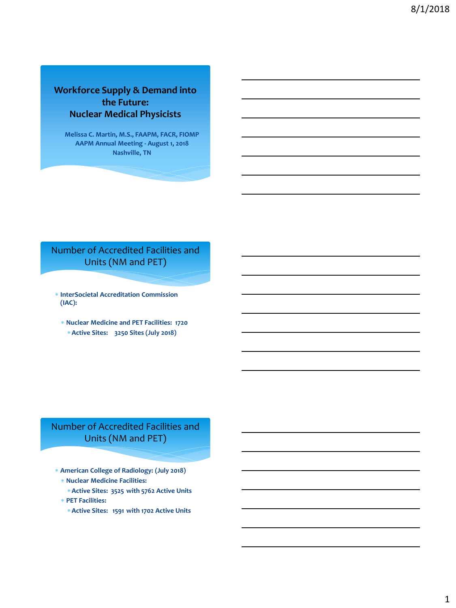#### **Workforce Supply & Demand into the Future: Nuclear Medical Physicists**

**Melissa C. Martin, M.S., FAAPM, FACR, FIOMP AAPM Annual Meeting - August 1, 2018 Nashville, TN**

# Number of Accredited Facilities and Units (NM and PET)

- **InterSocietal Accreditation Commission (IAC):**
	- **Nuclear Medicine and PET Facilities: 1720 Active Sites: 3250 Sites (July 2018)**

# Number of Accredited Facilities and Units (NM and PET)

- **American College of Radiology: (July 2018)**
	- **Nuclear Medicine Facilities:**
	- **Active Sites: 3525 with 5762 Active Units**
	- **PET Facilities:**
		- **Active Sites: 1591 with 1702 Active Units**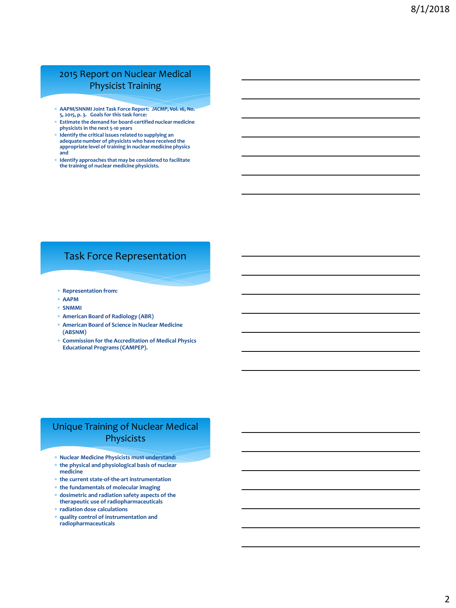#### 2015 Report on Nuclear Medical Physicist Training

- **AAPM/SNNMI Joint Task Force Report:** *JACMP***, Vol. 16, No. 5, 2015, p. 3. Goals for this task force:**
- **Estimate the demand for board-certified nuclear medicine physicists in the next 5-10 years**
- **Identify the critical issues related to supplying an adequate number of physicists who have received the appropriate level of training in nuclear medicine physics and**
- **Identify approaches that may be considered to facilitate the training of nuclear medicine physicists.**

# Task Force Representation

- **Representation from:**
- **AAPM**
- **SNMMI**
- **American Board of Radiology (ABR)**
- **American Board of Science in Nuclear Medicine (ABSNM)**
- **Commission for the Accreditation of Medical Physics Educational Programs (CAMPEP).**

#### Unique Training of Nuclear Medical Physicists

- **Nuclear Medicine Physicists must understand:**
- **the physical and physiological basis of nuclear**
- **medicine**
- **the current state-of-the-art instrumentation**
- **the fundamentals of molecular imaging**
- **dosimetric and radiation safety aspects of the therapeutic use of radiopharmaceuticals**
- **radiation dose calculations**
- **quality control of instrumentation and radiopharmaceuticals**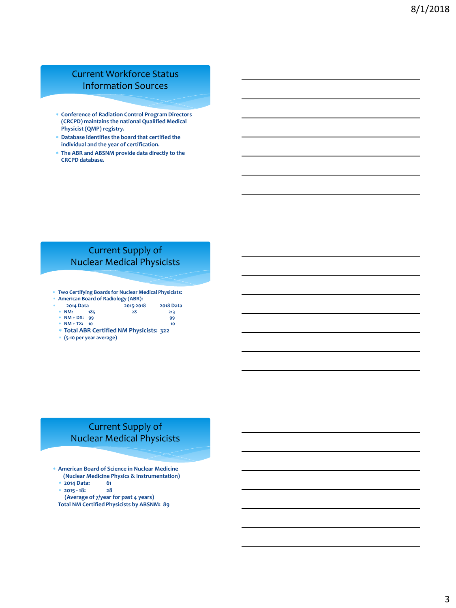#### Current Workforce Status Information Sources

- **Conference of Radiation Control Program Directors (CRCPD) maintains the national Qualified Medical Physicist (QMP) registry.**
- **Database identifies the board that certified the individual and the year of certification.**
- **The ABR and ABSNM provide data directly to the CRCPD database.**

#### Current Supply of Nuclear Medical Physicists

**Two Certifying Boards for Nuclear Medical Physicists:**

|     | * American Board of Radiology (ABR): |                 |     |           |                  |
|-----|--------------------------------------|-----------------|-----|-----------|------------------|
| sk. | 2014 Data                            |                 |     | 2015-2018 | <b>2018 Data</b> |
|     |                                      | $*$ NM:         | 185 | 28        | 213              |
|     |                                      | $*$ NM + DX: 99 |     |           | 99               |
|     |                                      | $*$ NM + TX: 10 |     |           | 10               |

- **Total ABR Certified NM Physicists: 322**
- **(5-10 per year average)**

# Current Supply of Nuclear Medical Physicists

- **American Board of Science in Nuclear Medicine (Nuclear Medicine Physics & Instrumentation)**
	-
	- **2014 Data: 61 2015 - 18: 28**
	- **(Average of 7/year for past 4 years)**
- **Total NM Certified Physicists by ABSNM: 89**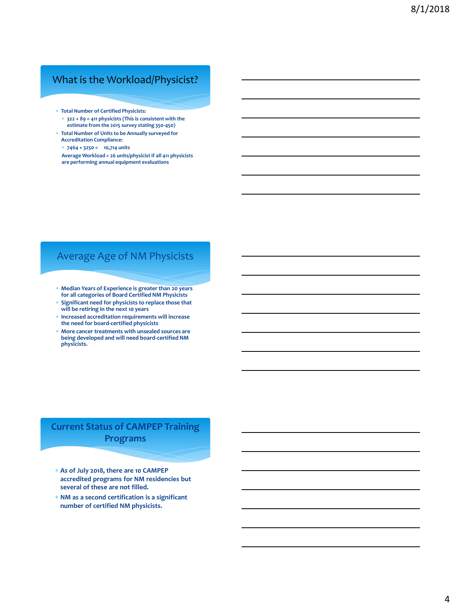#### What is the Workload/Physicist?

- **Total Number of Certified Physicists:**
- **322 + 89 = 411 physicists (This is consistent with the estimate from the 2015 survey stating 350-450)**
- **Total Number of Units to be Annually surveyed for Accreditation Compliance:**
- **7464 + 3250 = 10,714 units**
- **Average Workload = 26 units/physicist if all 411 physicists are performing annual equipment evaluations**

# Average Age of NM Physicists

- **Median Years of Experience is greater than 20 years for all categories of Board Certified NM Physicists**
- **Significant need for physicists to replace those that will be retiring in the next 10 years**
- **Increased accreditation requirements will increase the need for board-certified physicists**
- **More cancer treatments with unsealed sources are being developed and will need board-certified NM physicists.**

# **Current Status of CAMPEP Training Programs**

- **As of July 2018, there are 10 CAMPEP accredited programs for NM residencies but several of these are not filled.**
- **NM as a second certification is a significant number of certified NM physicists.**